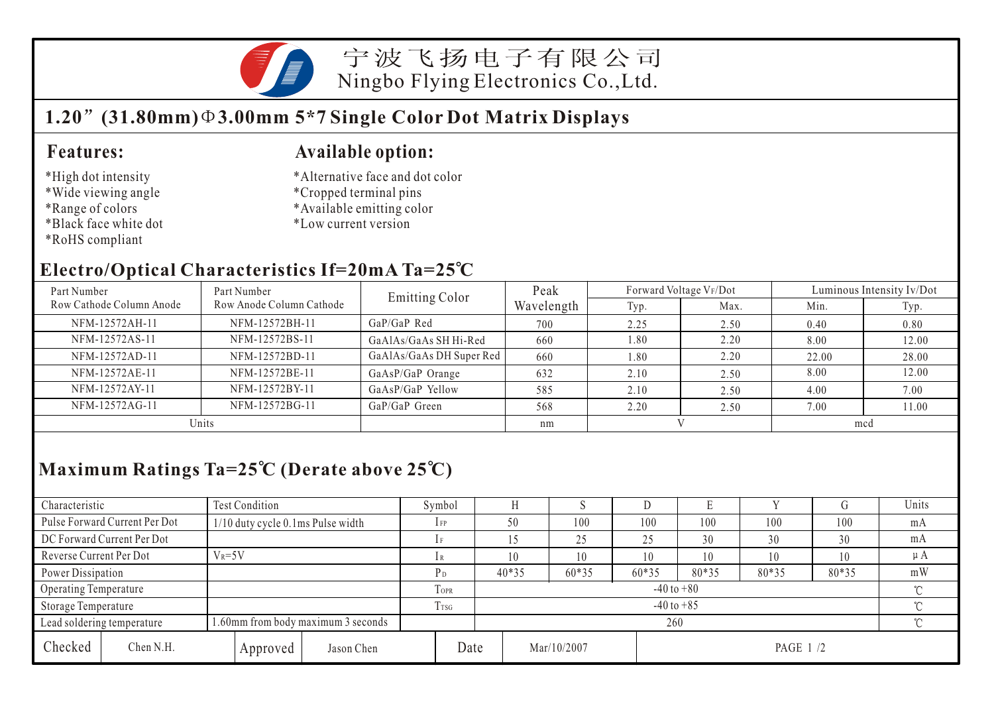

宁波飞扬电子有限公司 Ningbo Flying Electronics Co.,Ltd.

# **1.20 (31.80mm) 3.00mm 5\*7 Single Color Dot Matrix Displays**

### **Features:**

- \*High dot intensity
- \*Wide viewing angle
- \*Range of colors
- \*Black face white dot
- \*RoHS compliant

#### **Available option:**

- \*Alternative face and dot color
- \*Cropped terminal pins
- \*Available emitting color
- \*Low current version

## **Electro/Optical Characteristics If=20mA Ta=25 C**

| Part Number              | Part Number              | <b>Emitting Color</b>    | Peak       | Forward Voltage VF/Dot |      | Luminous Intensity Iv/Dot |       |  |
|--------------------------|--------------------------|--------------------------|------------|------------------------|------|---------------------------|-------|--|
| Row Cathode Column Anode | Row Anode Column Cathode |                          | Wavelength | Typ.                   | Max. | Min.                      | Typ.  |  |
| NFM-12572AH-11           | NFM-12572BH-11           | GaP/GaP Red              | 700        | 2.25                   | 2.50 | 0.40                      | 0.80  |  |
| NFM-12572AS-11           | NFM-12572BS-11           | GaAlAs/GaAs SH Hi-Red    | 660        | 1.80                   | 2.20 | 8.00                      | 12.00 |  |
| NFM-12572AD-11           | NFM-12572BD-11           | GaAlAs/GaAs DH Super Red | 660        | 1.80                   | 2.20 | 22.00                     | 28.00 |  |
| NFM-12572AE-11           | NFM-12572BE-11           | GaAsP/GaP Orange         | 632        | 2.10                   | 2.50 | 8.00                      | 12.00 |  |
| NFM-12572AY-11           | NFM-12572BY-11           | GaAsP/GaP Yellow         | 585        | 2.10                   | 2.50 | 4.00                      | 7.00  |  |
| NFM-12572AG-11           | NFM-12572BG-11           | GaP/GaP Green            | 568        | 2.20                   | 2.50 | 7.00                      | 11.00 |  |
| Units                    |                          |                          | nm         |                        |      | mcd                       |       |  |

## **Maximum Ratings Ta=25 C (Derate above 25 C)**

| Characteristic          |                                                                  | <b>Test Condition</b>             |          |                  |                            | Symbol         |             |  |       |                 |       |       |          | Units   |
|-------------------------|------------------------------------------------------------------|-----------------------------------|----------|------------------|----------------------------|----------------|-------------|--|-------|-----------------|-------|-------|----------|---------|
|                         | Pulse Forward Current Per Dot                                    | 1/10 duty cycle 0.1ms Pulse width |          |                  |                            | 1 FP           | 50          |  | 100   | 100             | 100   | 100   | 100      | mA      |
|                         | DC Forward Current Per Dot                                       |                                   |          |                  |                            |                |             |  | 25    | 25              | 30    | 30    | 30       | mA      |
| Reverse Current Per Dot |                                                                  | $V_R = 5V$                        |          |                  |                            | 1 R            |             |  | 10    | 10              | 10    | 10    | 10       | $\mu A$ |
|                         | Power Dissipation                                                |                                   |          |                  |                            | P <sub>D</sub> | $40*35$     |  | 60*35 | 60*35           | 80*35 | 80*35 | 80*35    | mW      |
| Operating Temperature   |                                                                  |                                   |          |                  | TOPR                       | $-40$ to $+80$ |             |  |       |                 |       |       |          |         |
| Storage Temperature     |                                                                  |                                   |          | T <sub>rsg</sub> | $-40$ to $+85$<br>$\gamma$ |                |             |  |       |                 |       |       |          |         |
|                         | 1.60mm from body maximum 3 seconds<br>Lead soldering temperature |                                   |          |                  |                            | 260            |             |  |       |                 |       |       | $\gamma$ |         |
| Checked                 | Chen N.H.                                                        |                                   | Approved | Jason Chen       | Date                       |                | Mar/10/2007 |  |       | <b>PAGE 1/2</b> |       |       |          |         |